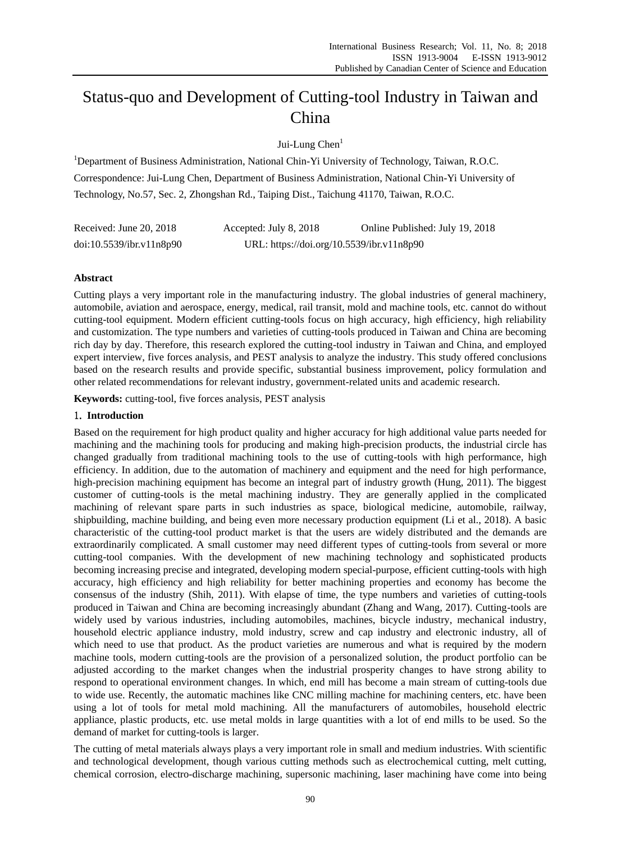# Status-quo and Development of Cutting-tool Industry in Taiwan and China

Jui-Lung Chen<sup>1</sup>

<sup>1</sup>Department of Business Administration, National Chin-Yi University of Technology, Taiwan, R.O.C. Correspondence: Jui-Lung Chen, Department of Business Administration, National Chin-Yi University of Technology, No.57, Sec. 2, Zhongshan Rd., Taiping Dist., Taichung 41170, Taiwan, R.O.C.

| Received: June 20, 2018  | Accepted: July 8, 2018                    | Online Published: July 19, 2018 |
|--------------------------|-------------------------------------------|---------------------------------|
| doi:10.5539/ibr.v11n8p90 | URL: https://doi.org/10.5539/ibr.v11n8p90 |                                 |

# **Abstract**

Cutting plays a very important role in the manufacturing industry. The global industries of general machinery, automobile, aviation and aerospace, energy, medical, rail transit, mold and machine tools, etc. cannot do without cutting-tool equipment. Modern efficient cutting-tools focus on high accuracy, high efficiency, high reliability and customization. The type numbers and varieties of cutting-tools produced in Taiwan and China are becoming rich day by day. Therefore, this research explored the cutting-tool industry in Taiwan and China, and employed expert interview, five forces analysis, and PEST analysis to analyze the industry. This study offered conclusions based on the research results and provide specific, substantial business improvement, policy formulation and other related recommendations for relevant industry, government-related units and academic research.

**Keywords:** cutting-tool, five forces analysis, PEST analysis

# 1. **Introduction**

Based on the requirement for high product quality and higher accuracy for high additional value parts needed for machining and the machining tools for producing and making high-precision products, the industrial circle has changed gradually from traditional machining tools to the use of cutting-tools with high performance, high efficiency. In addition, due to the automation of machinery and equipment and the need for high performance, high-precision machining equipment has become an integral part of industry growth (Hung, 2011). The biggest customer of cutting-tools is the metal machining industry. They are generally applied in the complicated machining of relevant spare parts in such industries as space, biological medicine, automobile, railway, shipbuilding, machine building, and being even more necessary production equipment (Li et al., 2018). A basic characteristic of the cutting-tool product market is that the users are widely distributed and the demands are extraordinarily complicated. A small customer may need different types of cutting-tools from several or more cutting-tool companies. With the development of new machining technology and sophisticated products becoming increasing precise and integrated, developing modern special-purpose, efficient cutting-tools with high accuracy, high efficiency and high reliability for better machining properties and economy has become the consensus of the industry (Shih, 2011). With elapse of time, the type numbers and varieties of cutting-tools produced in Taiwan and China are becoming increasingly abundant (Zhang and Wang, 2017). Cutting-tools are widely used by various industries, including automobiles, machines, bicycle industry, mechanical industry, household electric appliance industry, mold industry, screw and cap industry and electronic industry, all of which need to use that product. As the product varieties are numerous and what is required by the modern machine tools, modern cutting-tools are the provision of a personalized solution, the product portfolio can be adjusted according to the market changes when the industrial prosperity changes to have strong ability to respond to operational environment changes. In which, end mill has become a main stream of cutting-tools due to wide use. Recently, the automatic machines like CNC milling machine for machining centers, etc. have been using a lot of tools for metal mold machining. All the manufacturers of automobiles, household electric appliance, plastic products, etc. use metal molds in large quantities with a lot of end mills to be used. So the demand of market for cutting-tools is larger.

The cutting of metal materials always plays a very important role in small and medium industries. With scientific and technological development, though various cutting methods such as electrochemical cutting, melt cutting, chemical corrosion, electro-discharge machining, supersonic machining, laser machining have come into being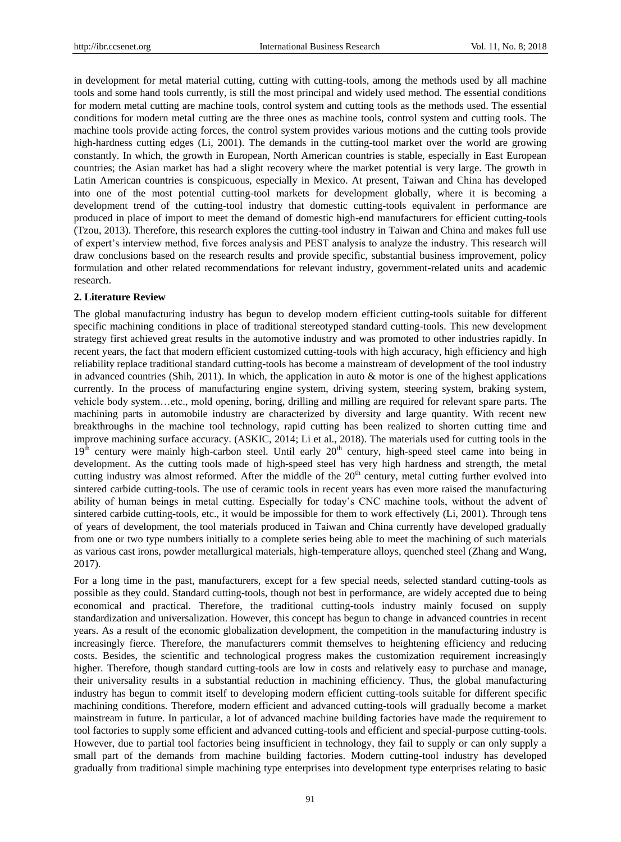in development for metal material cutting, cutting with cutting-tools, among the methods used by all machine tools and some hand tools currently, is still the most principal and widely used method. The essential conditions for modern metal cutting are machine tools, control system and cutting tools as the methods used. The essential conditions for modern metal cutting are the three ones as machine tools, control system and cutting tools. The machine tools provide acting forces, the control system provides various motions and the cutting tools provide high-hardness cutting edges (Li, 2001). The demands in the cutting-tool market over the world are growing constantly. In which, the growth in European, North American countries is stable, especially in East European countries; the Asian market has had a slight recovery where the market potential is very large. The growth in Latin American countries is conspicuous, especially in Mexico. At present, Taiwan and China has developed into one of the most potential cutting-tool markets for development globally, where it is becoming a development trend of the cutting-tool industry that domestic cutting-tools equivalent in performance are produced in place of import to meet the demand of domestic high-end manufacturers for efficient cutting-tools (Tzou, 2013). Therefore, this research explores the cutting-tool industry in Taiwan and China and makes full use of expert's interview method, five forces analysis and PEST analysis to analyze the industry. This research will draw conclusions based on the research results and provide specific, substantial business improvement, policy formulation and other related recommendations for relevant industry, government-related units and academic research.

#### **2. Literature Review**

The global manufacturing industry has begun to develop modern efficient cutting-tools suitable for different specific machining conditions in place of traditional stereotyped standard cutting-tools. This new development strategy first achieved great results in the automotive industry and was promoted to other industries rapidly. In recent years, the fact that modern efficient customized cutting-tools with high accuracy, high efficiency and high reliability replace traditional standard cutting-tools has become a mainstream of development of the tool industry in advanced countries (Shih, 2011). In which, the application in auto  $\&$  motor is one of the highest applications currently. In the process of manufacturing engine system, driving system, steering system, braking system, vehicle body system…etc., mold opening, boring, drilling and milling are required for relevant spare parts. The machining parts in automobile industry are characterized by diversity and large quantity. With recent new breakthroughs in the machine tool technology, rapid cutting has been realized to shorten cutting time and improve machining surface accuracy. (ASKIC, 2014; Li et al., 2018). The materials used for cutting tools in the  $19<sup>th</sup>$  century were mainly high-carbon steel. Until early  $20<sup>th</sup>$  century, high-speed steel came into being in development. As the cutting tools made of high-speed steel has very high hardness and strength, the metal cutting industry was almost reformed. After the middle of the 20<sup>th</sup> century, metal cutting further evolved into sintered carbide cutting-tools. The use of ceramic tools in recent years has even more raised the manufacturing ability of human beings in metal cutting. Especially for today's CNC machine tools, without the advent of sintered carbide cutting-tools, etc., it would be impossible for them to work effectively (Li, 2001). Through tens of years of development, the tool materials produced in Taiwan and China currently have developed gradually from one or two type numbers initially to a complete series being able to meet the machining of such materials as various cast irons, powder metallurgical materials, high-temperature alloys, quenched steel (Zhang and Wang, 2017).

For a long time in the past, manufacturers, except for a few special needs, selected standard cutting-tools as possible as they could. Standard cutting-tools, though not best in performance, are widely accepted due to being economical and practical. Therefore, the traditional cutting-tools industry mainly focused on supply standardization and universalization. However, this concept has begun to change in advanced countries in recent years. As a result of the economic globalization development, the competition in the manufacturing industry is increasingly fierce. Therefore, the manufacturers commit themselves to heightening efficiency and reducing costs. Besides, the scientific and technological progress makes the customization requirement increasingly higher. Therefore, though standard cutting-tools are low in costs and relatively easy to purchase and manage, their universality results in a substantial reduction in machining efficiency. Thus, the global manufacturing industry has begun to commit itself to developing modern efficient cutting-tools suitable for different specific machining conditions. Therefore, modern efficient and advanced cutting-tools will gradually become a market mainstream in future. In particular, a lot of advanced machine building factories have made the requirement to tool factories to supply some efficient and advanced cutting-tools and efficient and special-purpose cutting-tools. However, due to partial tool factories being insufficient in technology, they fail to supply or can only supply a small part of the demands from machine building factories. Modern cutting-tool industry has developed gradually from traditional simple machining type enterprises into development type enterprises relating to basic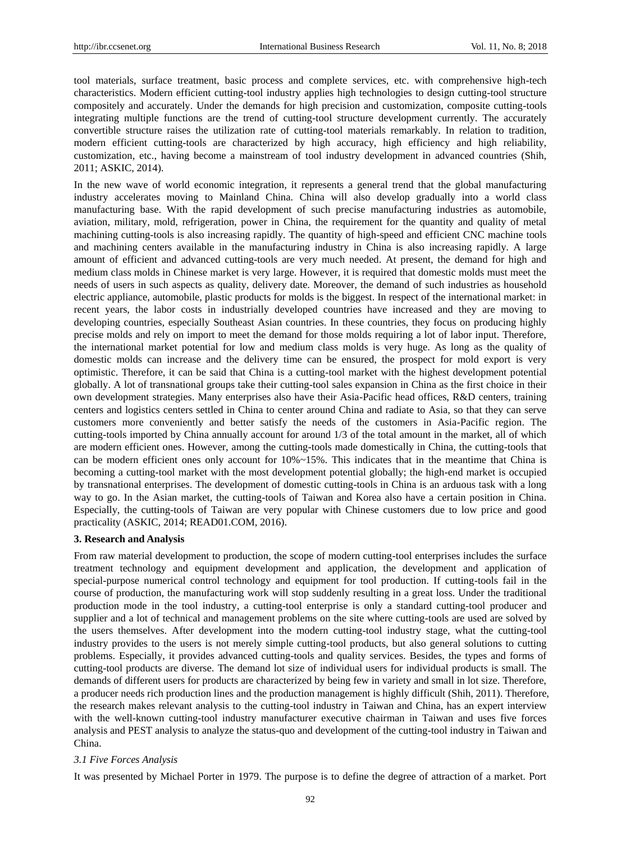tool materials, surface treatment, basic process and complete services, etc. with comprehensive high-tech characteristics. Modern efficient cutting-tool industry applies high technologies to design cutting-tool structure compositely and accurately. Under the demands for high precision and customization, composite cutting-tools integrating multiple functions are the trend of cutting-tool structure development currently. The accurately convertible structure raises the utilization rate of cutting-tool materials remarkably. In relation to tradition, modern efficient cutting-tools are characterized by high accuracy, high efficiency and high reliability, customization, etc., having become a mainstream of tool industry development in advanced countries (Shih, 2011; ASKIC, 2014).

In the new wave of world economic integration, it represents a general trend that the global manufacturing industry accelerates moving to Mainland China. China will also develop gradually into a world class manufacturing base. With the rapid development of such precise manufacturing industries as automobile, aviation, military, mold, refrigeration, power in China, the requirement for the quantity and quality of metal machining cutting-tools is also increasing rapidly. The quantity of high-speed and efficient CNC machine tools and machining centers available in the manufacturing industry in China is also increasing rapidly. A large amount of efficient and advanced cutting-tools are very much needed. At present, the demand for high and medium class molds in Chinese market is very large. However, it is required that domestic molds must meet the needs of users in such aspects as quality, delivery date. Moreover, the demand of such industries as household electric appliance, automobile, plastic products for molds is the biggest. In respect of the international market: in recent years, the labor costs in industrially developed countries have increased and they are moving to developing countries, especially Southeast Asian countries. In these countries, they focus on producing highly precise molds and rely on import to meet the demand for those molds requiring a lot of labor input. Therefore, the international market potential for low and medium class molds is very huge. As long as the quality of domestic molds can increase and the delivery time can be ensured, the prospect for mold export is very optimistic. Therefore, it can be said that China is a cutting-tool market with the highest development potential globally. A lot of transnational groups take their cutting-tool sales expansion in China as the first choice in their own development strategies. Many enterprises also have their Asia-Pacific head offices, R&D centers, training centers and logistics centers settled in China to center around China and radiate to Asia, so that they can serve customers more conveniently and better satisfy the needs of the customers in Asia-Pacific region. The cutting-tools imported by China annually account for around 1/3 of the total amount in the market, all of which are modern efficient ones. However, among the cutting-tools made domestically in China, the cutting-tools that can be modern efficient ones only account for 10%~15%. This indicates that in the meantime that China is becoming a cutting-tool market with the most development potential globally; the high-end market is occupied by transnational enterprises. The development of domestic cutting-tools in China is an arduous task with a long way to go. In the Asian market, the cutting-tools of Taiwan and Korea also have a certain position in China. Especially, the cutting-tools of Taiwan are very popular with Chinese customers due to low price and good practicality (ASKIC, 2014; READ01.COM, 2016).

## **3. Research and Analysis**

From raw material development to production, the scope of modern cutting-tool enterprises includes the surface treatment technology and equipment development and application, the development and application of special-purpose numerical control technology and equipment for tool production. If cutting-tools fail in the course of production, the manufacturing work will stop suddenly resulting in a great loss. Under the traditional production mode in the tool industry, a cutting-tool enterprise is only a standard cutting-tool producer and supplier and a lot of technical and management problems on the site where cutting-tools are used are solved by the users themselves. After development into the modern cutting-tool industry stage, what the cutting-tool industry provides to the users is not merely simple cutting-tool products, but also general solutions to cutting problems. Especially, it provides advanced cutting-tools and quality services. Besides, the types and forms of cutting-tool products are diverse. The demand lot size of individual users for individual products is small. The demands of different users for products are characterized by being few in variety and small in lot size. Therefore, a producer needs rich production lines and the production management is highly difficult (Shih, 2011). Therefore, the research makes relevant analysis to the cutting-tool industry in Taiwan and China, has an expert interview with the well-known cutting-tool industry manufacturer executive chairman in Taiwan and uses five forces analysis and PEST analysis to analyze the status-quo and development of the cutting-tool industry in Taiwan and China.

### *3.1 Five Forces Analysis*

It was presented by Michael Porter in 1979. The purpose is to define the degree of attraction of a market. Port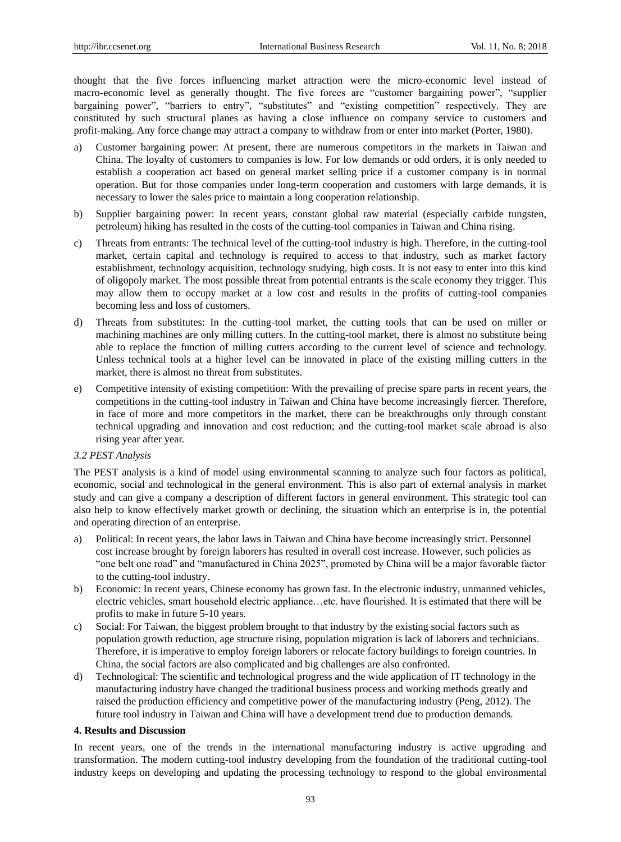thought that the five forces influencing market attraction were the micro-economic level instead of macro-economic level as generally thought. The five forces are "customer bargaining power", "supplier bargaining power", "barriers to entry", "substitutes" and "existing competition" respectively. They are constituted by such structural planes as having a close influence on company service to customers and profit-making. Any force change may attract a company to withdraw from or enter into market (Porter, 1980).

- a) Customer bargaining power: At present, there are numerous competitors in the markets in Taiwan and China. The loyalty of customers to companies is low. For low demands or odd orders, it is only needed to establish a cooperation act based on general market selling price if a customer company is in normal operation. But for those companies under long-term cooperation and customers with large demands, it is necessary to lower the sales price to maintain a long cooperation relationship.
- b) Supplier bargaining power: In recent years, constant global raw material (especially carbide tungsten, petroleum) hiking has resulted in the costs of the cutting-tool companies in Taiwan and China rising.
- c) Threats from entrants: The technical level of the cutting-tool industry is high. Therefore, in the cutting-tool market, certain capital and technology is required to access to that industry, such as market factory establishment, technology acquisition, technology studying, high costs. It is not easy to enter into this kind of oligopoly market. The most possible threat from potential entrants is the scale economy they trigger. This may allow them to occupy market at a low cost and results in the profits of cutting-tool companies becoming less and loss of customers.
- d) Threats from substitutes: In the cutting-tool market, the cutting tools that can be used on miller or machining machines are only milling cutters. In the cutting-tool market, there is almost no substitute being able to replace the function of milling cutters according to the current level of science and technology. Unless technical tools at a higher level can be innovated in place of the existing milling cutters in the market, there is almost no threat from substitutes.
- e) Competitive intensity of existing competition: With the prevailing of precise spare parts in recent years, the competitions in the cutting-tool industry in Taiwan and China have become increasingly fiercer. Therefore, in face of more and more competitors in the market, there can be breakthroughs only through constant technical upgrading and innovation and cost reduction; and the cutting-tool market scale abroad is also rising year after year.

## *3.2 PEST Analysis*

The PEST analysis is a kind of model using environmental scanning to analyze such four factors as political, economic, social and technological in the general environment. This is also part of external analysis in market study and can give a company a description of different factors in general environment. This strategic tool can also help to know effectively market growth or declining, the situation which an enterprise is in, the potential and operating direction of an enterprise.

- a) Political: In recent years, the labor laws in Taiwan and China have become increasingly strict. Personnel cost increase brought by foreign laborers has resulted in overall cost increase. However, such policies as "one belt one road" and "manufactured in China 2025", promoted by China will be a major favorable factor to the cutting-tool industry.
- b) Economic: In recent years, Chinese economy has grown fast. In the electronic industry, unmanned vehicles, electric vehicles, smart household electric appliance…etc. have flourished. It is estimated that there will be profits to make in future 5-10 years.
- c) Social: For Taiwan, the biggest problem brought to that industry by the existing social factors such as population growth reduction, age structure rising, population migration is lack of laborers and technicians. Therefore, it is imperative to employ foreign laborers or relocate factory buildings to foreign countries. In China, the social factors are also complicated and big challenges are also confronted.
- d) Technological: The scientific and technological progress and the wide application of IT technology in the manufacturing industry have changed the traditional business process and working methods greatly and raised the production efficiency and competitive power of the manufacturing industry (Peng, 2012). The future tool industry in Taiwan and China will have a development trend due to production demands.

#### **4. Results and Discussion**

In recent years, one of the trends in the international manufacturing industry is active upgrading and transformation. The modern cutting-tool industry developing from the foundation of the traditional cutting-tool industry keeps on developing and updating the processing technology to respond to the global environmental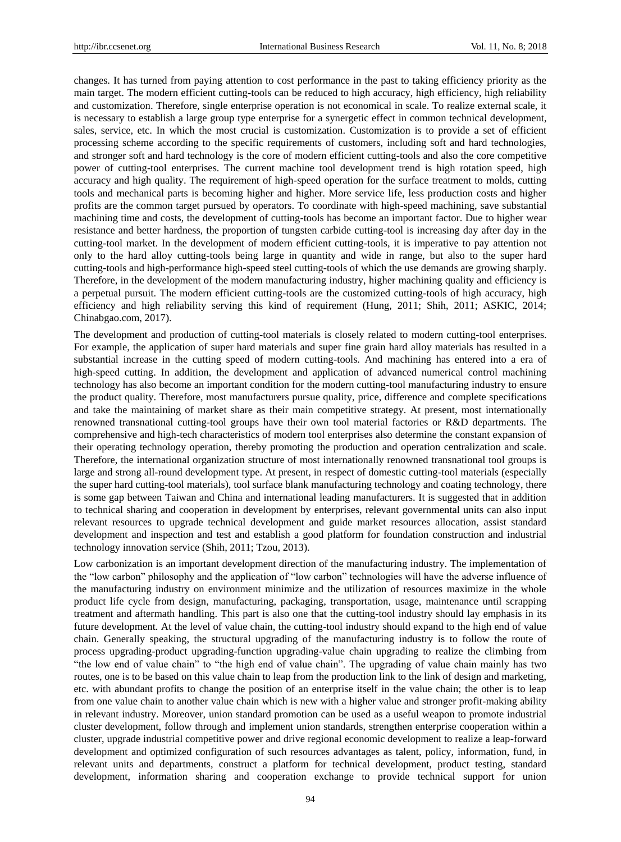changes. It has turned from paying attention to cost performance in the past to taking efficiency priority as the main target. The modern efficient cutting-tools can be reduced to high accuracy, high efficiency, high reliability and customization. Therefore, single enterprise operation is not economical in scale. To realize external scale, it is necessary to establish a large group type enterprise for a synergetic effect in common technical development, sales, service, etc. In which the most crucial is customization. Customization is to provide a set of efficient processing scheme according to the specific requirements of customers, including soft and hard technologies, and stronger soft and hard technology is the core of modern efficient cutting-tools and also the core competitive power of cutting-tool enterprises. The current machine tool development trend is high rotation speed, high accuracy and high quality. The requirement of high-speed operation for the surface treatment to molds, cutting tools and mechanical parts is becoming higher and higher. More service life, less production costs and higher profits are the common target pursued by operators. To coordinate with high-speed machining, save substantial machining time and costs, the development of cutting-tools has become an important factor. Due to higher wear resistance and better hardness, the proportion of tungsten carbide cutting-tool is increasing day after day in the cutting-tool market. In the development of modern efficient cutting-tools, it is imperative to pay attention not only to the hard alloy cutting-tools being large in quantity and wide in range, but also to the super hard cutting-tools and high-performance high-speed steel cutting-tools of which the use demands are growing sharply. Therefore, in the development of the modern manufacturing industry, higher machining quality and efficiency is a perpetual pursuit. The modern efficient cutting-tools are the customized cutting-tools of high accuracy, high efficiency and high reliability serving this kind of requirement (Hung, 2011; Shih, 2011; ASKIC, 2014; Chinabgao.com, 2017).

The development and production of cutting-tool materials is closely related to modern cutting-tool enterprises. For example, the application of super hard materials and super fine grain hard alloy materials has resulted in a substantial increase in the cutting speed of modern cutting-tools. And machining has entered into a era of high-speed cutting. In addition, the development and application of advanced numerical control machining technology has also become an important condition for the modern cutting-tool manufacturing industry to ensure the product quality. Therefore, most manufacturers pursue quality, price, difference and complete specifications and take the maintaining of market share as their main competitive strategy. At present, most internationally renowned transnational cutting-tool groups have their own tool material factories or R&D departments. The comprehensive and high-tech characteristics of modern tool enterprises also determine the constant expansion of their operating technology operation, thereby promoting the production and operation centralization and scale. Therefore, the international organization structure of most internationally renowned transnational tool groups is large and strong all-round development type. At present, in respect of domestic cutting-tool materials (especially the super hard cutting-tool materials), tool surface blank manufacturing technology and coating technology, there is some gap between Taiwan and China and international leading manufacturers. It is suggested that in addition to technical sharing and cooperation in development by enterprises, relevant governmental units can also input relevant resources to upgrade technical development and guide market resources allocation, assist standard development and inspection and test and establish a good platform for foundation construction and industrial technology innovation service (Shih, 2011; Tzou, 2013).

Low carbonization is an important development direction of the manufacturing industry. The implementation of the "low carbon" philosophy and the application of "low carbon" technologies will have the adverse influence of the manufacturing industry on environment minimize and the utilization of resources maximize in the whole product life cycle from design, manufacturing, packaging, transportation, usage, maintenance until scrapping treatment and aftermath handling. This part is also one that the cutting-tool industry should lay emphasis in its future development. At the level of value chain, the cutting-tool industry should expand to the high end of value chain. Generally speaking, the structural upgrading of the manufacturing industry is to follow the route of process upgrading-product upgrading-function upgrading-value chain upgrading to realize the climbing from "the low end of value chain" to "the high end of value chain". The upgrading of value chain mainly has two routes, one is to be based on this value chain to leap from the production link to the link of design and marketing, etc. with abundant profits to change the position of an enterprise itself in the value chain; the other is to leap from one value chain to another value chain which is new with a higher value and stronger profit-making ability in relevant industry. Moreover, union standard promotion can be used as a useful weapon to promote industrial cluster development, follow through and implement union standards, strengthen enterprise cooperation within a cluster, upgrade industrial competitive power and drive regional economic development to realize a leap-forward development and optimized configuration of such resources advantages as talent, policy, information, fund, in relevant units and departments, construct a platform for technical development, product testing, standard development, information sharing and cooperation exchange to provide technical support for union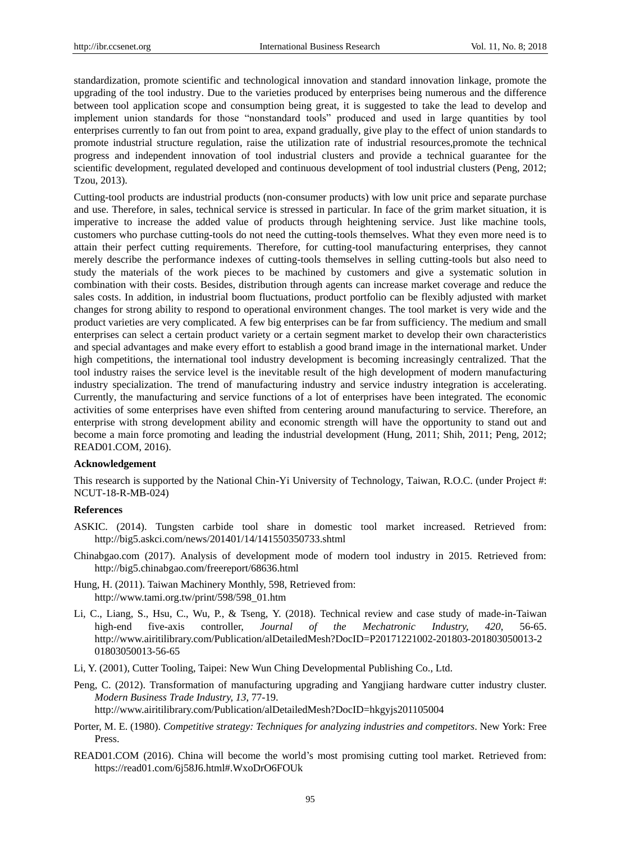standardization, promote scientific and technological innovation and standard innovation linkage, promote the upgrading of the tool industry. Due to the varieties produced by enterprises being numerous and the difference between tool application scope and consumption being great, it is suggested to take the lead to develop and implement union standards for those "nonstandard tools" produced and used in large quantities by tool enterprises currently to fan out from point to area, expand gradually, give play to the effect of union standards to promote industrial structure regulation, raise the utilization rate of industrial resources,promote the technical progress and independent innovation of tool industrial clusters and provide a technical guarantee for the scientific development, regulated developed and continuous development of tool industrial clusters (Peng, 2012; Tzou, 2013).

Cutting-tool products are industrial products (non-consumer products) with low unit price and separate purchase and use. Therefore, in sales, technical service is stressed in particular. In face of the grim market situation, it is imperative to increase the added value of products through heightening service. Just like machine tools, customers who purchase cutting-tools do not need the cutting-tools themselves. What they even more need is to attain their perfect cutting requirements. Therefore, for cutting-tool manufacturing enterprises, they cannot merely describe the performance indexes of cutting-tools themselves in selling cutting-tools but also need to study the materials of the work pieces to be machined by customers and give a systematic solution in combination with their costs. Besides, distribution through agents can increase market coverage and reduce the sales costs. In addition, in industrial boom fluctuations, product portfolio can be flexibly adjusted with market changes for strong ability to respond to operational environment changes. The tool market is very wide and the product varieties are very complicated. A few big enterprises can be far from sufficiency. The medium and small enterprises can select a certain product variety or a certain segment market to develop their own characteristics and special advantages and make every effort to establish a good brand image in the international market. Under high competitions, the international tool industry development is becoming increasingly centralized. That the tool industry raises the service level is the inevitable result of the high development of modern manufacturing industry specialization. The trend of manufacturing industry and service industry integration is accelerating. Currently, the manufacturing and service functions of a lot of enterprises have been integrated. The economic activities of some enterprises have even shifted from centering around manufacturing to service. Therefore, an enterprise with strong development ability and economic strength will have the opportunity to stand out and become a main force promoting and leading the industrial development (Hung, 2011; Shih, 2011; Peng, 2012; READ01.COM, 2016).

## **Acknowledgement**

This research is supported by the National Chin-Yi University of Technology, Taiwan, R.O.C. (under Project #: NCUT-18-R-MB-024)

### **References**

- ASKIC. (2014). Tungsten carbide tool share in domestic tool market increased. Retrieved from: http://big5.askci.com/news/201401/14/141550350733.shtml
- Chinabgao.com (2017). Analysis of development mode of modern tool industry in 2015. Retrieved from: http://big5.chinabgao.com/freereport/68636.html
- Hung, H. (2011). Taiwan Machinery Monthly, 598, Retrieved from: http://www.tami.org.tw/print/598/598\_01.htm
- Li, C., Liang, S., Hsu, C., Wu, P., & Tseng, Y. (2018). Technical review and case study of made-in-Taiwan high-end five-axis controller, *Journal of the Mechatronic Industry, 420*, 56-65. http://www.airitilibrary.com/Publication/alDetailedMesh?DocID=P20171221002-201803-201803050013-2 01803050013-56-65
- Li, Y. (2001), Cutter Tooling, Taipei: New Wun Ching Developmental Publishing Co., Ltd.
- Peng, C. (2012). Transformation of manufacturing upgrading and Yangjiang hardware cutter industry cluster. *Modern Business Trade Industry, 13*, 77-19.

http://www.airitilibrary.com/Publication/alDetailedMesh?DocID=hkgyjs201105004

- Porter, M. E. (1980). *Competitive strategy: Techniques for analyzing industries and competitors*. New York: Free Press.
- READ01.COM (2016). China will become the world's most promising cutting tool market. Retrieved from: https://read01.com/6j58J6.html#.WxoDrO6FOUk